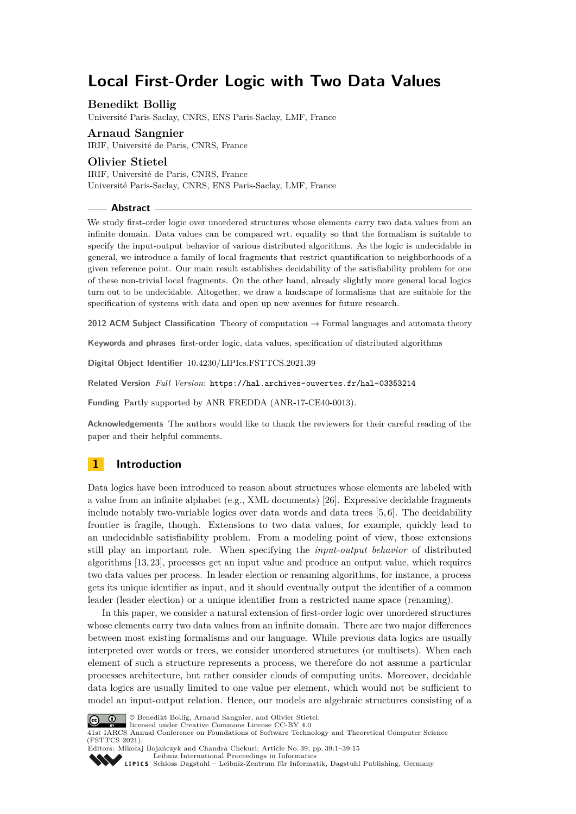# **Local First-Order Logic with Two Data Values**

# **Benedikt Bollig**

Université Paris-Saclay, CNRS, ENS Paris-Saclay, LMF, France

### **Arnaud Sangnier** IRIF, Université de Paris, CNRS, France

**Olivier Stietel** IRIF, Université de Paris, CNRS, France Université Paris-Saclay, CNRS, ENS Paris-Saclay, LMF, France

#### **Abstract**

We study first-order logic over unordered structures whose elements carry two data values from an infinite domain. Data values can be compared wrt. equality so that the formalism is suitable to specify the input-output behavior of various distributed algorithms. As the logic is undecidable in general, we introduce a family of local fragments that restrict quantification to neighborhoods of a given reference point. Our main result establishes decidability of the satisfiability problem for one of these non-trivial local fragments. On the other hand, already slightly more general local logics turn out to be undecidable. Altogether, we draw a landscape of formalisms that are suitable for the specification of systems with data and open up new avenues for future research.

**2012 ACM Subject Classification** Theory of computation → Formal languages and automata theory

**Keywords and phrases** first-order logic, data values, specification of distributed algorithms

**Digital Object Identifier** [10.4230/LIPIcs.FSTTCS.2021.39](https://doi.org/10.4230/LIPIcs.FSTTCS.2021.39)

**Related Version** *Full Version*: <https://hal.archives-ouvertes.fr/hal-03353214>

**Funding** Partly supported by ANR FREDDA (ANR-17-CE40-0013).

**Acknowledgements** The authors would like to thank the reviewers for their careful reading of the paper and their helpful comments.

# **1 Introduction**

Data logics have been introduced to reason about structures whose elements are labeled with a value from an infinite alphabet (e.g., XML documents) [\[26\]](#page-14-0). Expressive decidable fragments include notably two-variable logics over data words and data trees [\[5,](#page-13-0) [6\]](#page-13-1). The decidability frontier is fragile, though. Extensions to two data values, for example, quickly lead to an undecidable satisfiability problem. From a modeling point of view, those extensions still play an important role. When specifying the *input-output behavior* of distributed algorithms [\[13,](#page-13-2) [23\]](#page-13-3), processes get an input value and produce an output value, which requires two data values per process. In leader election or renaming algorithms, for instance, a process gets its unique identifier as input, and it should eventually output the identifier of a common leader (leader election) or a unique identifier from a restricted name space (renaming).

In this paper, we consider a natural extension of first-order logic over unordered structures whose elements carry two data values from an infinite domain. There are two major differences between most existing formalisms and our language. While previous data logics are usually interpreted over words or trees, we consider unordered structures (or multisets). When each element of such a structure represents a process, we therefore do not assume a particular processes architecture, but rather consider clouds of computing units. Moreover, decidable data logics are usually limited to one value per element, which would not be sufficient to model an input-output relation. Hence, our models are algebraic structures consisting of a



© Benedikt Bollig, Arnaud Sangnier, and Olivier Stietel;

licensed under Creative Commons License CC-BY 4.0 41st IARCS Annual Conference on Foundations of Software Technology and Theoretical Computer Science (FSTTCS 2021).

Editors: Mikołaj Bojańczyk and Chandra Chekuri; Article No. 39; pp. 39:1–39:15 [Leibniz International Proceedings in Informatics](https://www.dagstuhl.de/lipics/)

[Schloss Dagstuhl – Leibniz-Zentrum für Informatik, Dagstuhl Publishing, Germany](https://www.dagstuhl.de)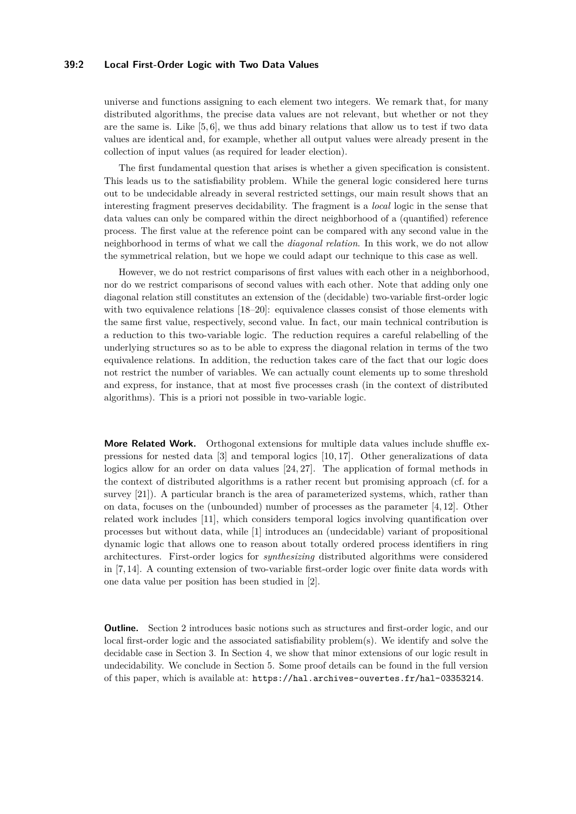# **39:2 Local First-Order Logic with Two Data Values**

universe and functions assigning to each element two integers. We remark that, for many distributed algorithms, the precise data values are not relevant, but whether or not they are the same is. Like [\[5,](#page-13-0) [6\]](#page-13-1), we thus add binary relations that allow us to test if two data values are identical and, for example, whether all output values were already present in the collection of input values (as required for leader election).

The first fundamental question that arises is whether a given specification is consistent. This leads us to the satisfiability problem. While the general logic considered here turns out to be undecidable already in several restricted settings, our main result shows that an interesting fragment preserves decidability. The fragment is a *local* logic in the sense that data values can only be compared within the direct neighborhood of a (quantified) reference process. The first value at the reference point can be compared with any second value in the neighborhood in terms of what we call the *diagonal relation*. In this work, we do not allow the symmetrical relation, but we hope we could adapt our technique to this case as well.

However, we do not restrict comparisons of first values with each other in a neighborhood, nor do we restrict comparisons of second values with each other. Note that adding only one diagonal relation still constitutes an extension of the (decidable) two-variable first-order logic with two equivalence relations [\[18–](#page-13-4)[20\]](#page-13-5): equivalence classes consist of those elements with the same first value, respectively, second value. In fact, our main technical contribution is a reduction to this two-variable logic. The reduction requires a careful relabelling of the underlying structures so as to be able to express the diagonal relation in terms of the two equivalence relations. In addition, the reduction takes care of the fact that our logic does not restrict the number of variables. We can actually count elements up to some threshold and express, for instance, that at most five processes crash (in the context of distributed algorithms). This is a priori not possible in two-variable logic.

**More Related Work.** Orthogonal extensions for multiple data values include shuffle expressions for nested data [\[3\]](#page-13-6) and temporal logics [\[10,](#page-13-7) [17\]](#page-13-8). Other generalizations of data logics allow for an order on data values [\[24,](#page-14-1) [27\]](#page-14-2). The application of formal methods in the context of distributed algorithms is a rather recent but promising approach (cf. for a survey [\[21\]](#page-13-9)). A particular branch is the area of parameterized systems, which, rather than on data, focuses on the (unbounded) number of processes as the parameter [\[4,](#page-13-10) [12\]](#page-13-11). Other related work includes [\[11\]](#page-13-12), which considers temporal logics involving quantification over processes but without data, while [\[1\]](#page-12-0) introduces an (undecidable) variant of propositional dynamic logic that allows one to reason about totally ordered process identifiers in ring architectures. First-order logics for *synthesizing* distributed algorithms were considered in [\[7,](#page-13-13) [14\]](#page-13-14). A counting extension of two-variable first-order logic over finite data words with one data value per position has been studied in [\[2\]](#page-12-1).

**Outline.** Section [2](#page-2-0) introduces basic notions such as structures and first-order logic, and our local first-order logic and the associated satisfiability problem(s). We identify and solve the decidable case in Section [3.](#page-4-0) In Section [4,](#page-10-0) we show that minor extensions of our logic result in undecidability. We conclude in Section [5.](#page-12-2) Some proof details can be found in the full version of this paper, which is available at: <https://hal.archives-ouvertes.fr/hal-03353214>.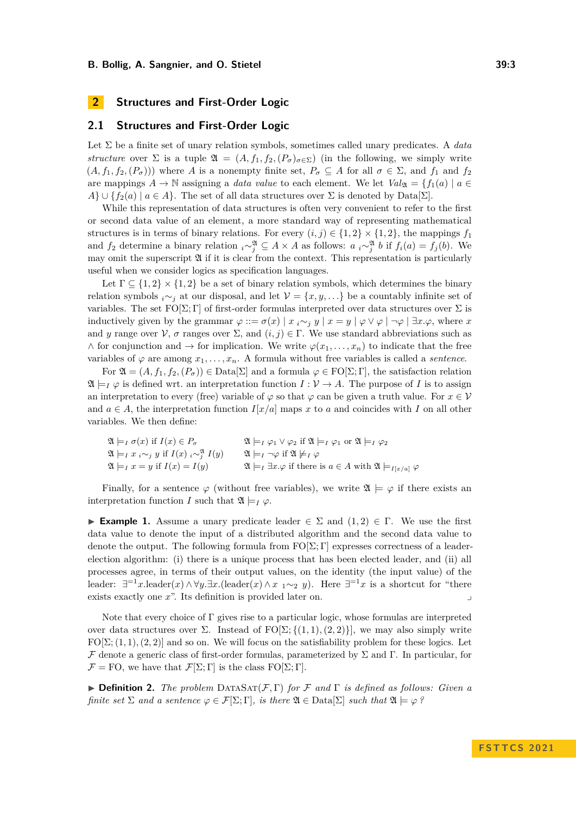# <span id="page-2-0"></span>**2 Structures and First-Order Logic**

# **2.1 Structures and First-Order Logic**

Let Σ be a finite set of unary relation symbols, sometimes called unary predicates. A *data structure* over  $\Sigma$  is a tuple  $\mathfrak{A} = (A, f_1, f_2, (P_\sigma)_{\sigma \in \Sigma})$  (in the following, we simply write  $(A, f_1, f_2, (P_\sigma))$  where *A* is a nonempty finite set,  $P_\sigma \subseteq A$  for all  $\sigma \in \Sigma$ , and  $f_1$  and  $f_2$ are mappings  $A \to \mathbb{N}$  assigning a *data value* to each element. We let  $Val_{\mathfrak{A}} = \{f_1(a) \mid a \in \mathfrak{A}\}$  $A\} \cup \{f_2(a) \mid a \in A\}$ . The set of all data structures over  $\Sigma$  is denoted by Data[ $\Sigma$ ].

While this representation of data structures is often very convenient to refer to the first or second data value of an element, a more standard way of representing mathematical structures is in terms of binary relations. For every  $(i, j) \in \{1, 2\} \times \{1, 2\}$ , the mappings  $f_1$ and  $f_2$  determine a binary relation  $i \sim_j^{\mathfrak{A}} \subseteq A \times A$  as follows:  $a_i \sim_j^{\mathfrak{A}} b$  if  $f_i(a) = f_j(b)$ . We may omit the superscript  $\mathfrak A$  if it is clear from the context. This representation is particularly useful when we consider logics as specification languages.

Let  $\Gamma \subseteq \{1,2\} \times \{1,2\}$  be a set of binary relation symbols, which determines the binary relation symbols *i*∼*j* at our disposal, and let  $\mathcal{V} = \{x, y, ...\}$  be a countably infinite set of variables. The set  $FO[\Sigma;\Gamma]$  of first-order formulas interpreted over data structures over  $\Sigma$  is inductively given by the grammar  $\varphi ::= \sigma(x) | x_i \sim_j y | x = y | \varphi \vee \varphi | \neg \varphi | \exists x.\varphi$ , where *x* and *y* range over  $\mathcal V$ , *σ* ranges over  $\Sigma$ , and  $(i, j) \in \Gamma$ . We use standard abbreviations such as  $\wedge$  for conjunction and  $\rightarrow$  for implication. We write  $\varphi(x_1, \ldots, x_n)$  to indicate that the free variables of  $\varphi$  are among  $x_1, \ldots, x_n$ . A formula without free variables is called a *sentence*.

For  $\mathfrak{A} = (A, f_1, f_2, (P_\sigma)) \in \text{Data}[\Sigma]$  and a formula  $\varphi \in \text{FO}[\Sigma; \Gamma]$ , the satisfaction relation  $\mathfrak{A} \models_I \varphi$  is defined wrt. an interpretation function  $I : \mathcal{V} \to A$ . The purpose of *I* is to assign an interpretation to every (free) variable of  $\varphi$  so that  $\varphi$  can be given a truth value. For  $x \in V$ and  $a \in A$ , the interpretation function  $I[x/a]$  maps x to a and coincides with I on all other variables. We then define:

| $\mathfrak{A} \models_I \sigma(x)$ if $I(x) \in P_{\sigma}$                              | $\mathfrak{A} \models_I \varphi_1 \vee \varphi_2$ if $\mathfrak{A} \models_I \varphi_1$ or $\mathfrak{A} \models_I \varphi_2$ |
|------------------------------------------------------------------------------------------|-------------------------------------------------------------------------------------------------------------------------------|
| $\mathfrak{A} \models_I x_i \sim_j y$ if $I(x)$ $\big  \sim_j^{\mathfrak{A}} I(y) \big $ | $\mathfrak{A} \models_I \neg \varphi$ if $\mathfrak{A} \not\models_I \varphi$                                                 |
| $\mathfrak{A}\models_I x=y$ if $I(x)=I(y)$                                               | $\mathfrak{A}\models_I \exists x.\varphi$ if there is $a\in A$ with $\mathfrak{A}\models_{I[x/a]} \varphi$                    |

Finally, for a sentence  $\varphi$  (without free variables), we write  $\mathfrak{A} \models \varphi$  if there exists an interpretation function *I* such that  $\mathfrak{A} \models_I \varphi$ .

<span id="page-2-1"></span>**► Example 1.** Assume a unary predicate leader  $\in \Sigma$  and  $(1,2) \in \Gamma$ . We use the first data value to denote the input of a distributed algorithm and the second data value to denote the output. The following formula from  $FO[\Sigma; \Gamma]$  expresses correctness of a leaderelection algorithm: (i) there is a unique process that has been elected leader, and (ii) all processes agree, in terms of their output values, on the identity (the input value) of the leader:  $\exists^{-1}x.\text{leader}(x) \land \forall y.\exists x.(\text{leader}(x) \land x_1 \sim_2 y)$ . Here  $\exists^{-1}x$  is a shortcut for "there exists exactly one x<sup>"</sup>. Its definition is provided later on.

Note that every choice of  $\Gamma$  gives rise to a particular logic, whose formulas are interpreted over data structures over  $\Sigma$ . Instead of  $FO[\Sigma;\{(1,1),(2,2)\}]$ , we may also simply write  $FO[\Sigma; (1,1), (2,2)]$  and so on. We will focus on the satisfiability problem for these logics. Let F denote a generic class of first-order formulas, parameterized by  $\Sigma$  and Γ. In particular, for  $\mathcal{F} = \text{FO}$ , we have that  $\mathcal{F}[\Sigma; \Gamma]$  is the class  $\text{FO}[\Sigma; \Gamma]$ .

▶ **Definition 2.** *The problem* DataSat(F*,* Γ) *for* F *and* Γ *is defined as follows: Given a finite set*  $\Sigma$  *and a sentence*  $\varphi \in \mathcal{F}[\Sigma; \Gamma]$ *, is there*  $\mathfrak{A} \in \text{Data}[\Sigma]$  *such that*  $\mathfrak{A} \models \varphi$  ?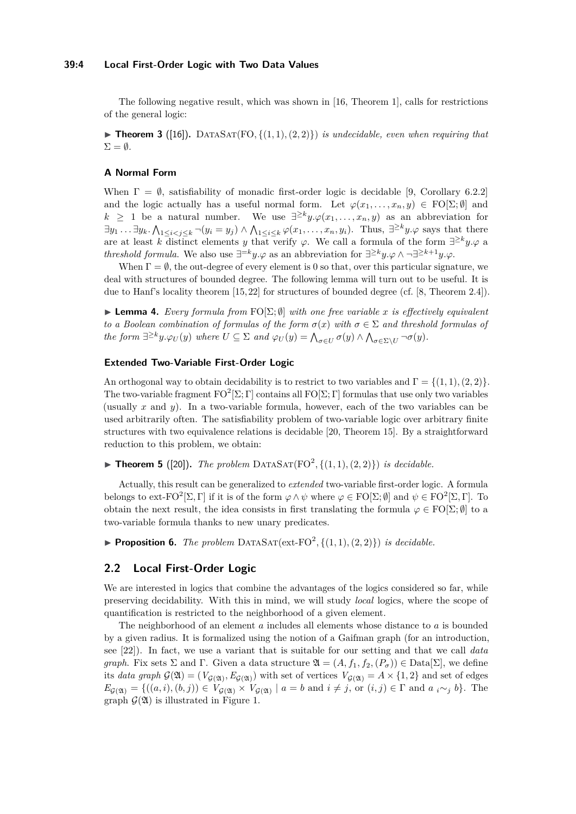### **39:4 Local First-Order Logic with Two Data Values**

The following negative result, which was shown in [\[16,](#page-13-15) Theorem 1], calls for restrictions of the general logic:

 $\blacktriangleright$  **Theorem 3** ([\[16\]](#page-13-15)). DATASAT(FO, {(1,1), (2,2)}) *is undecidable, even when requiring that*  $\Sigma = \emptyset$ .

# **A Normal Form**

When  $\Gamma = \emptyset$ , satisfiability of monadic first-order logic is decidable [\[9,](#page-13-16) Corollary 6.2.2] and the logic actually has a useful normal form. Let  $\varphi(x_1, \ldots, x_n, y) \in \mathrm{FO}[\Sigma; \emptyset]$  and  $k \geq 1$  be a natural number. We use  $\exists^{\geq k} y \cdot \varphi(x_1, \ldots, x_n, y)$  as an abbreviation for  $\exists y_1 \ldots \exists y_k \ldotp \bigwedge_{1 \leq i < j \leq k} \neg(y_i = y_j) \land \bigwedge_{1 \leq i \leq k} \varphi(x_1, \ldots, x_n, y_i)$ . Thus,  $\exists^{\geq k} y \ldotp \varphi$  says that there are at least *k* distinct elements *y* that verify  $\varphi$ . We call a formula of the form  $\exists^{\geq k} y.\varphi$  a *threshold formula*. We also use  $\exists^{=k} y \cdot \varphi$  as an abbreviation for  $\exists^{\geq k} y \cdot \varphi \wedge \neg \exists^{\geq k+1} y \cdot \varphi$ .

When  $\Gamma = \emptyset$ , the out-degree of every element is 0 so that, over this particular signature, we deal with structures of bounded degree. The following lemma will turn out to be useful. It is due to Hanf's locality theorem [\[15,](#page-13-17) [22\]](#page-13-18) for structures of bounded degree (cf. [\[8,](#page-13-19) Theorem 2.4]).

<span id="page-3-0"></span>▶ **Lemma 4.** *Every formula from* FO[Σ; ∅] *with one free variable x is effectively equivalent to a Boolean combination of formulas of the form*  $\sigma(x)$  *with*  $\sigma \in \Sigma$  *and threshold formulas of the form*  $\exists^{\geq k} y.\varphi_U(y)$  *where*  $U \subseteq \Sigma$  *and*  $\varphi_U(y) = \bigwedge_{\sigma \in U} \sigma(y) \wedge \bigwedge_{\sigma \in \Sigma \setminus U} \neg \sigma(y)$ *.* 

### **Extended Two-Variable First-Order Logic**

An orthogonal way to obtain decidability is to restrict to two variables and  $\Gamma = \{(1,1), (2,2)\}.$ The two-variable fragment  $FO^2[\Sigma; \Gamma]$  contains all  $FO[\Sigma; \Gamma]$  formulas that use only two variables (usually *x* and *y*). In a two-variable formula, however, each of the two variables can be used arbitrarily often. The satisfiability problem of two-variable logic over arbitrary finite structures with two equivalence relations is decidable [\[20,](#page-13-5) Theorem 15]. By a straightforward reduction to this problem, we obtain:

 $\blacktriangleright$  **Theorem 5** ([\[20\]](#page-13-5)). *The problem* DATASAT(FO<sup>2</sup>, {(1,1), (2,2)}) *is decidable.* 

Actually, this result can be generalized to *extended* two-variable first-order logic. A formula belongs to ext-FO<sup>2</sup> $[\Sigma, \Gamma]$  if it is of the form  $\varphi \wedge \psi$  where  $\varphi \in FO[\Sigma; \emptyset]$  and  $\psi \in FO^2[\Sigma, \Gamma]$ . To obtain the next result, the idea consists in first translating the formula  $\varphi \in FO[\Sigma;\emptyset]$  to a two-variable formula thanks to new unary predicates.

<span id="page-3-1"></span> $\blacktriangleright$  **Proposition 6.** *The problem* DATASAT(ext-FO<sup>2</sup>, {(1, 1), (2, 2)}) *is decidable.* 

### **2.2 Local First-Order Logic**

We are interested in logics that combine the advantages of the logics considered so far, while preserving decidability. With this in mind, we will study *local* logics, where the scope of quantification is restricted to the neighborhood of a given element.

The neighborhood of an element *a* includes all elements whose distance to *a* is bounded by a given radius. It is formalized using the notion of a Gaifman graph (for an introduction, see [\[22\]](#page-13-18)). In fact, we use a variant that is suitable for our setting and that we call *data graph*. Fix sets  $\Sigma$  and  $\Gamma$ . Given a data structure  $\mathfrak{A} = (A, f_1, f_2, (P_{\sigma})) \in \text{Data}[\Sigma]$ , we define its *data graph*  $G(\mathfrak{A}) = (V_{G(\mathfrak{A})}, E_{G(\mathfrak{A})})$  with set of vertices  $V_{G(\mathfrak{A})} = A \times \{1, 2\}$  and set of edges  $E_{\mathcal{G}(\mathfrak{A})} = \{((a, i), (b, j)) \in V_{\mathcal{G}(\mathfrak{A})} \times V_{\mathcal{G}(\mathfrak{A})} \mid a = b \text{ and } i \neq j, \text{ or } (i, j) \in \Gamma \text{ and } a_i \sim_j b\}.$  The graph  $\mathcal{G}(\mathfrak{A})$  is illustrated in Figure [1.](#page-4-1)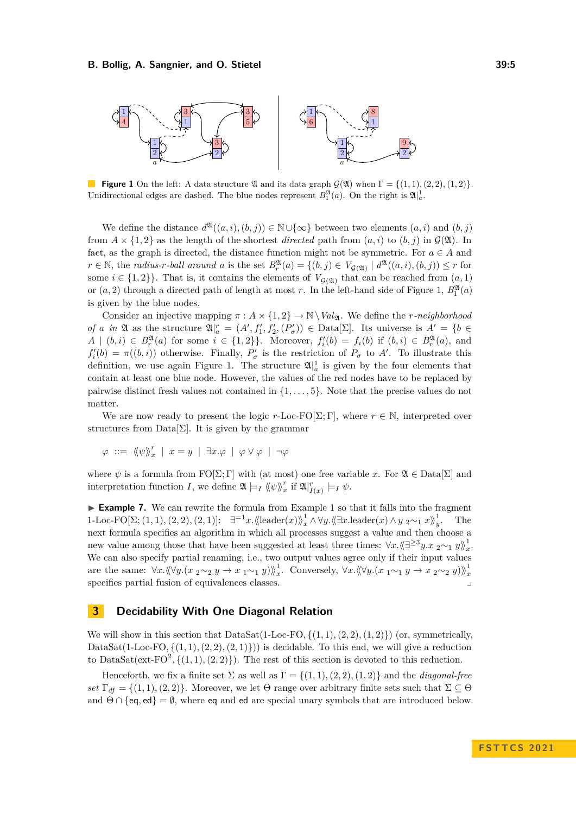<span id="page-4-1"></span>

**Figure 1** On the left: A data structure  $\mathfrak A$  and its data graph  $\mathcal G(\mathfrak A)$  when  $\Gamma = \{(1,1), (2,2), (1,2)\}.$ Unidirectional edges are dashed. The blue nodes represent  $B_1^{\mathfrak{A}}(a)$ . On the right is  $\mathfrak{A}|_a^1$ .

We define the distance  $d^{\mathfrak{A}}((a, i), (b, j)) \in \mathbb{N} \cup \{\infty\}$  between two elements  $(a, i)$  and  $(b, j)$ from  $A \times \{1,2\}$  as the length of the shortest *directed* path from  $(a, i)$  to  $(b, j)$  in  $\mathcal{G}(\mathfrak{A})$ . In fact, as the graph is directed, the distance function might not be symmetric. For  $a \in A$  and  $r \in \mathbb{N}$ , the *radius-r-ball around a* is the set  $B_r^{\mathfrak{A}}(a) = \{(b, j) \in V_{\mathcal{G}(\mathfrak{A})} \mid d^{\mathfrak{A}}((a, i), (b, j)) \leq r$  for some  $i \in \{1,2\}$ . That is, it contains the elements of  $V_{\mathcal{G}(\mathfrak{A})}$  that can be reached from  $(a,1)$ or  $(a, 2)$  through a directed path of length at most *r*. In the left-hand side of Figure [1,](#page-4-1)  $B_1^{\mathfrak{A}}(a)$ is given by the blue nodes.

Consider an injective mapping  $\pi$  :  $A \times \{1,2\} \rightarrow \mathbb{N} \setminus Val_{\mathfrak{A}}$ . We define the *r*-neighborhood *of a in*  $\mathfrak{A}$  as the structure  $\mathfrak{A} |_{a}^{r} = (A', f'_{1}, f'_{2}, (P'_{\sigma})) \in \text{Data}[\Sigma]$ . Its universe is  $A' = \{b \in \Sigma, a' \in \Sigma\}$  $A \mid (b, i) \in B_r^{\mathfrak{A}}(a)$  for some  $i \in \{1, 2\} \}$ . Moreover,  $f_i'(b) = f_i(b)$  if  $(b, i) \in B_r^{\mathfrak{A}}(a)$ , and  $f_i'(b) = \pi((b, i))$  otherwise. Finally,  $P'_\sigma$  is the restriction of  $P_\sigma$  to A'. To illustrate this definition, we use again Figure [1.](#page-4-1) The structure  $\mathfrak{A}^{\parallel}_{a}$  is given by the four elements that contain at least one blue node. However, the values of the red nodes have to be replaced by pairwise distinct fresh values not contained in {1*, . . . ,* 5}. Note that the precise values do not matter.

We are now ready to present the logic  $r$ -Loc-FO[ $\Sigma$ ; Γ], where  $r \in \mathbb{N}$ , interpreted over structures from Data $[\Sigma]$ . It is given by the grammar

$$
\varphi \ ::= \ \langle \! \langle \psi \rangle \! \rangle_x^r \ \mid \ x = y \ \mid \ \exists x. \varphi \ \mid \ \varphi \vee \varphi \ \mid \ \neg \varphi
$$

where  $\psi$  is a formula from  $FO[\Sigma; \Gamma]$  with (at most) one free variable *x*. For  $\mathfrak{A} \in \mathrm{Data}[\Sigma]$  and interpretation function *I*, we define  $\mathfrak{A} \models_I \langle \langle \psi \rangle \rangle_x^r$  if  $\mathfrak{A}|_{I(x)}^r \models_I \psi$ .

▶ Example 7. We can rewrite the formula from Example [1](#page-2-1) so that it falls into the fragment 1-Loc-FO[Σ; (1, 1), (2, 2), (2, 1)]:  $\exists^{=1} x.\langle\langle \text{leader}(x) \rangle \rangle_x^1 \land \forall y.\langle\langle \exists x.\text{leader}(x) \land y \rangle_2 \sim_1 x \rangle_y^1$ . The next formula specifies an algorithm in which all processes suggest a value and then choose a new value among those that have been suggested at least three times:  $\forall x. \langle \langle \exists \geq^3 y. x \rangle_2 \sim_1 y \rangle \rangle_x^1$ . We can also specify partial renaming, i.e., two output values agree only if their input values are the same:  $\forall x. \langle \langle \forall y. (x_2 \sim_2 y \rightarrow x_1 \sim_1 y) \rangle \rangle_x^1$ . Conversely,  $\forall x. \langle \langle \forall y. (x_1 \sim_1 y \rightarrow x_2 \sim_2 y) \rangle \rangle_x^1$ specifies partial fusion of equivalences classes.

# <span id="page-4-0"></span>**3 Decidability With One Diagonal Relation**

We will show in this section that  $DataSat(1-Loc-FO, \{(1, 1), (2, 2), (1, 2)\})$  (or, symmetrically, DataSat $(1$ -Loc-FO,  $\{(1,1), (2,2), (2,1)\})$  is decidable. To this end, we will give a reduction to DataSat(ext-FO<sup>2</sup>, { $(1,1)$ ,  $(2,2)$ }). The rest of this section is devoted to this reduction.

Henceforth, we fix a finite set  $\Sigma$  as well as  $\Gamma = \{(1, 1), (2, 2), (1, 2)\}\$ and the *diagonal-free set*  $\Gamma_{df} = \{(1,1), (2,2)\}\.$  Moreover, we let  $\Theta$  range over arbitrary finite sets such that  $\Sigma \subseteq \Theta$ and  $\Theta \cap {\{\text{eq},\text{ed}\}} = \emptyset$ , where eq and ed are special unary symbols that are introduced below.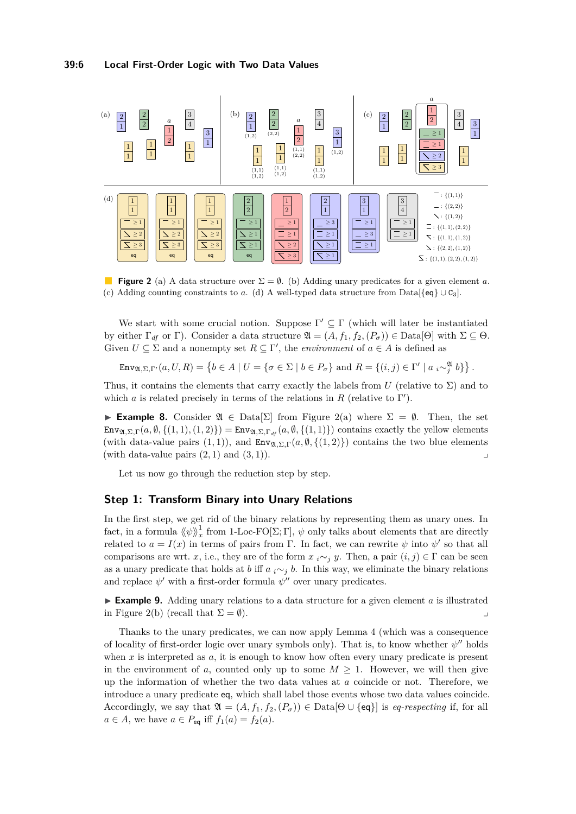<span id="page-5-0"></span>

**Figure 2** (a) A data structure over  $\Sigma = \emptyset$ . (b) Adding unary predicates for a given element *a*. (c) Adding counting constraints to *a*. (d) A well-typed data structure from Data[ $\{eq\} \cup C_3$ ].

We start with some crucial notion. Suppose  $\Gamma' \subseteq \Gamma$  (which will later be instantiated by either  $\Gamma_{df}$  or  $\Gamma$ ). Consider a data structure  $\mathfrak{A} = (A, f_1, f_2, (P_{\sigma})) \in \text{Data}[\Theta]$  with  $\Sigma \subseteq \Theta$ . Given  $U \subseteq \Sigma$  and a nonempty set  $R \subseteq \Gamma'$ , the *environment* of  $a \in A$  is defined as

 $\text{Env}_{\mathfrak{A},\Sigma,\Gamma'}(a,U,R) = \left\{ b \in A \mid U = \{ \sigma \in \Sigma \mid b \in P_{\sigma} \} \text{ and } R = \{ (i,j) \in \Gamma' \mid a_i \sim_{j}^{\mathfrak{A}} b \} \right\}.$ 

Thus, it contains the elements that carry exactly the labels from  $U$  (relative to  $\Sigma$ ) and to which *a* is related precisely in terms of the relations in  $R$  (relative to  $\Gamma'$ ).

**► Example 8.** Consider  $\mathfrak{A} \in \text{Data}[\Sigma]$  from Figure [2\(](#page-5-0)a) where  $\Sigma = \emptyset$ . Then, the set  $\text{Env}_{\mathfrak{A},\Sigma,\Gamma}(a,\emptyset,\{(1,1),(1,2)\}) = \text{Env}_{\mathfrak{A},\Sigma,\Gamma_{df}}(a,\emptyset,\{(1,1)\})$  contains exactly the yellow elements (with data-value pairs  $(1, 1)$ ), and  $\text{Env}_{\mathfrak{A}, \Sigma, \Gamma}(a, \emptyset, \{(1, 2)\})$  contains the two blue elements  $(\text{with data-value pairs } (2,1) \text{ and } (3,1)).$ 

Let us now go through the reduction step by step.

# **Step 1: Transform Binary into Unary Relations**

In the first step, we get rid of the binary relations by representing them as unary ones. In fact, in a formula  $\langle \psi \rangle \rangle_x^1$  from 1-Loc-FO[ $\Sigma$ ; Γ],  $\psi$  only talks about elements that are directly related to  $a = I(x)$  in terms of pairs from Γ. In fact, we can rewrite  $\psi$  into  $\psi'$  so that all comparisons are wrt. *x*, i.e., they are of the form  $x_i \sim_j y$ . Then, a pair  $(i, j) \in \Gamma$  can be seen as a unary predicate that holds at *b* iff *a*  $_i \sim_j b$ . In this way, we eliminate the binary relations and replace  $\psi'$  with a first-order formula  $\psi''$  over unary predicates.

 $\triangleright$  **Example 9.** Adding unary relations to a data structure for a given element *a* is illustrated in Figure [2\(](#page-5-0)b) (recall that  $\Sigma = \emptyset$ ).

Thanks to the unary predicates, we can now apply Lemma [4](#page-3-0) (which was a consequence of locality of first-order logic over unary symbols only). That is, to know whether  $\psi''$  holds when *x* is interpreted as *a*, it is enough to know how often every unary predicate is present in the environment of *a*, counted only up to some  $M \geq 1$ . However, we will then give up the information of whether the two data values at *a* coincide or not. Therefore, we introduce a unary predicate eq, which shall label those events whose two data values coincide. Accordingly, we say that  $\mathfrak{A} = (A, f_1, f_2, (P_\sigma)) \in \text{Data}[\Theta \cup \{\text{eq}\}]$  is *eq-respecting* if, for all  $a \in A$ , we have  $a \in P_{eq}$  iff  $f_1(a) = f_2(a)$ .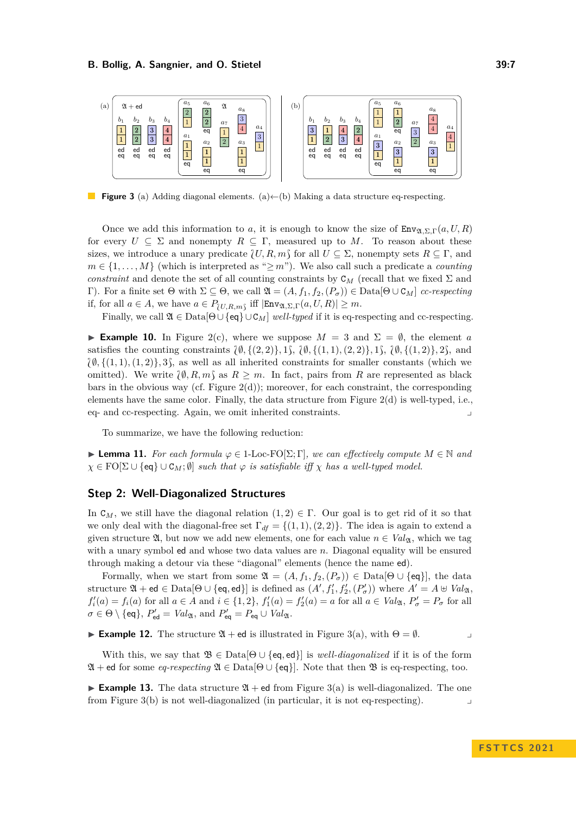<span id="page-6-0"></span>

**Figure 3** (a) Adding diagonal elements. (a)←(b) Making a data structure eq-respecting.

Once we add this information to *a*, it is enough to know the size of  $\text{Env}_{\mathfrak{D},\Sigma,\Gamma}(a,U,R)$ for every  $U \subseteq \Sigma$  and nonempty  $R \subseteq \Gamma$ , measured up to M. To reason about these sizes, we introduce a unary predicate  $\{U, R, m\}$  for all  $U \subseteq \Sigma$ , nonempty sets  $R \subseteq \Gamma$ , and  $m \in \{1, \ldots, M\}$  (which is interpreted as " $\geq m$ "). We also call such a predicate a *counting constraint* and denote the set of all counting constraints by  $C_M$  (recall that we fixed  $\Sigma$  and Γ). For a finite set  $Θ$  with  $Σ ⊆ Θ$ , we call  $\mathfrak{A} = (A, f_1, f_2, (P_σ)) ∈ Data[Θ ∪ C_M]$  *cc-respecting* if, for all  $a \in A$ , we have  $a \in P_{\{U,R,m\}}$  iff  $|\text{Env}_{\mathfrak{A},\Sigma,\Gamma}(a,U,R)| \geq m$ .

Finally, we call  $\mathfrak{A} \in \text{Data}[\Theta \cup \{\text{eq}\} \cup \mathcal{C}_M]$  *well-typed* if it is eq-respecting and cc-respecting.

**► Example 10.** In Figure [2\(](#page-5-0)c), where we suppose  $M = 3$  and  $\Sigma = \emptyset$ , the element *a* satisfies the counting constraints  $\{\emptyset, \{(2, 2)\}, 1\}$ ,  $\{\emptyset, \{(1, 1), (2, 2)\}, 1\}$ ,  $\{\emptyset, \{(1, 2)\}, 2\}$ , and  $\{\emptyset, \{(1,1), (1,2)\}\$ , 3), as well as all inherited constraints for smaller constants (which we omitted). We write  $\{\emptyset, R, m\}$  as  $R \geq m$ . In fact, pairs from R are represented as black bars in the obvious way (cf. Figure  $2(d)$ ); moreover, for each constraint, the corresponding elements have the same color. Finally, the data structure from Figure [2\(](#page-5-0)d) is well-typed, i.e., eq- and cc-respecting. Again, we omit inherited constraints. ⌟

To summarize, we have the following reduction:

<span id="page-6-1"></span>**► Lemma 11.** For each formula  $\varphi \in 1$ -Loc-FO[ $\Sigma$ ;  $\Gamma$ ], we can effectively compute  $M \in \mathbb{N}$  and  $\chi \in \text{FO}[\Sigma \cup \{\text{eq}\} \cup \text{C}_M; \emptyset]$  *such that*  $\varphi$  *is satisfiable iff*  $\chi$  *has a well-typed model.* 

### **Step 2: Well-Diagonalized Structures**

In  $C_M$ , we still have the diagonal relation  $(1,2) \in \Gamma$ . Our goal is to get rid of it so that we only deal with the diagonal-free set  $\Gamma_{df} = \{(1,1), (2,2)\}\.$  The idea is again to extend a given structure  $\mathfrak{A}$ , but now we add new elements, one for each value  $n \in Val_{\mathfrak{A}}$ , which we tag with a unary symbol ed and whose two data values are *n*. Diagonal equality will be ensured through making a detour via these "diagonal" elements (hence the name ed).

Formally, when we start from some  $\mathfrak{A} = (A, f_1, f_2, (P_{\sigma})) \in \text{Data}[\Theta \cup \{\text{eq}\}\],$  the data structure  $\mathfrak{A} + \mathsf{ed} \in \mathrm{Data}[\Theta \cup \{\mathsf{eq},\mathsf{ed}\}]$  is defined as  $(A', f'_1, f'_2, (P'_\sigma))$  where  $A' = A \cup Val_{\mathfrak{A}},$  $f_i'(a) = f_i(a)$  for all  $a \in A$  and  $i \in \{1,2\}$ ,  $f_1'(a) = f_2'(a) = a$  for all  $a \in Val_{\mathfrak{A}}, P_{\sigma}' = P_{\sigma}$  for all  $\sigma \in \Theta \setminus \{\text{eq}\}, P'_{\text{ed}} = \text{Val}_{\mathfrak{A}}, \text{ and } P'_{\text{eq}} = P_{\text{eq}} \cup \text{Val}_{\mathfrak{A}}.$ 

**Example 12.** The structure  $\mathfrak{A}$  + ed is illustrated in Figure [3\(](#page-6-0)a), with  $\Theta = \emptyset$ .

With this, we say that  $\mathfrak{B} \in \text{Data}[\Theta \cup \{\text{eq},\text{ed}\}]$  is *well-diagonalized* if it is of the form  $\mathfrak{A}$  + ed for some *eq-respecting*  $\mathfrak{A} \in \text{Data}[\Theta \cup \{\text{eq}\}]$ . Note that then  $\mathfrak{B}$  is eq-respecting, too.

**Example 13.** The data structure  $\mathfrak{A}$  + ed from Figure [3\(](#page-6-0)a) is well-diagonalized. The one from Figure  $3(b)$  is not well-diagonalized (in particular, it is not eq-respecting).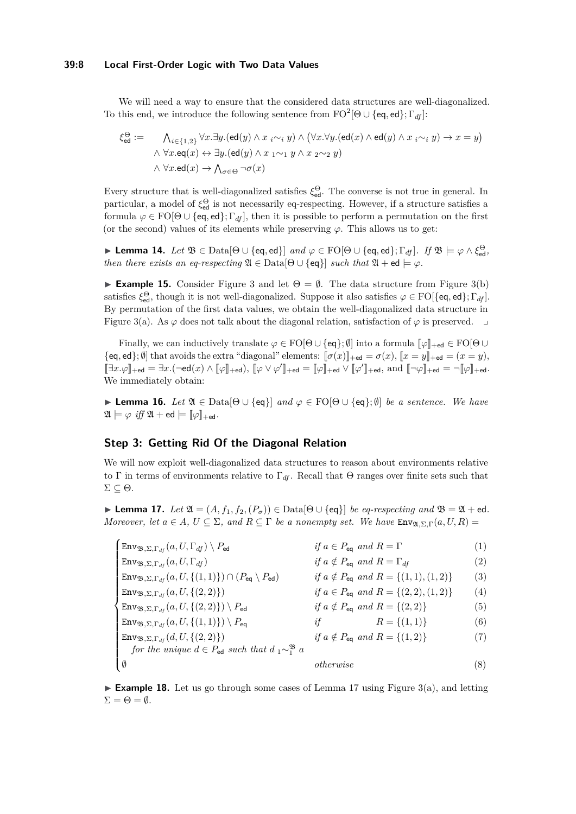### **39:8 Local First-Order Logic with Two Data Values**

We will need a way to ensure that the considered data structures are well-diagonalized. To this end, we introduce the following sentence from  $\mathrm{FO}^2[\Theta\cup\{\textsf{eq},\textsf{ed}\};\Gamma_{df}]$ :

$$
\xi_{\text{ed}}^{\Theta} := \bigwedge_{i \in \{1,2\}} \forall x. \exists y. (\text{ed}(y) \land x_i \sim_i y) \land (\forall x. \forall y. (\text{ed}(x) \land \text{ed}(y) \land x_i \sim_i y) \rightarrow x = y)
$$

$$
\land \forall x. \text{eq}(x) \leftrightarrow \exists y. (\text{ed}(y) \land x_1 \sim_1 y \land x_2 \sim_2 y)
$$

$$
\land \forall x. \text{ed}(x) \rightarrow \bigwedge_{\sigma \in \Theta} \neg \sigma(x)
$$

Every structure that is well-diagonalized satisfies  $\xi_{\text{ed}}^{\Theta}$ . The converse is not true in general. In particular, a model of  $\xi_{\text{ed}}^{\Theta}$  is not necessarily eq-respecting. However, if a structure satisfies a formula  $\varphi \in \mathrm{FO}[\Theta \cup \{eq, ed\}; \Gamma_{df}]$ , then it is possible to perform a permutation on the first (or the second) values of its elements while preserving  $\varphi$ . This allows us to get:

<span id="page-7-1"></span> $\blacktriangleright$  **Lemma 14.** *Let*  $\mathfrak{B} \in$  Data $[\Theta \cup \{eq, ed\}]$  *and*  $\varphi \in \text{FO}[\Theta \cup \{eq, ed\}; \Gamma_{df}]$ *. If*  $\mathfrak{B} \models \varphi \land \xi_{ed}^{\Theta}$ *, then there exists an eq-respecting*  $\mathfrak{A} \in \text{Data}[\Theta \cup \{\text{eq}\}\]$  *such that*  $\mathfrak{A} + \text{ed} \models \varphi$ *.* 

**Example 15.** Consider Figure [3](#page-6-0) and let  $\Theta = \emptyset$ . The data structure from Figure [3\(](#page-6-0)b) satisfies  $\xi_{\text{ed}}^{\Theta}$ , though it is not well-diagonalized. Suppose it also satisfies  $\varphi \in \text{FO}[\{\text{eq}, \text{ed}\}; \Gamma_{df}]$ . By permutation of the first data values, we obtain the well-diagonalized data structure in Figure [3\(](#page-6-0)a). As  $\varphi$  does not talk about the diagonal relation, satisfaction of  $\varphi$  is preserved.  $\Box$ 

Finally, we can inductively translate  $\varphi \in \text{FO}[\Theta \cup \{\text{eq}\}; \emptyset]$  into a formula  $[\varphi]_{+\text{ed}} \in \text{FO}[\Theta \cup$ {eq, ed}; Ø] that avoids the extra "diagonal" elements:  $[\![\sigma(x)]\!]_{+\text{ed}} = \sigma(x)$ ,  $[\![x = y]\!]_{+\text{ed}} = (x = y)$ ,  $[\exists x.\varphi]_{+\mathsf{ed}} = \exists x.(\neg \mathsf{ed}(x) \wedge [\![\varphi]\!]_{+\mathsf{ed}}), [\![\varphi \vee \varphi']\!]_{+\mathsf{ed}} = [\![\varphi]\!]_{+\mathsf{ed}} \vee [\![\varphi']\!]_{+\mathsf{ed}}, \text{ and } [\![\neg \varphi]\!]_{+\mathsf{ed}} = \neg [\![\varphi]\!]_{+\mathsf{ed}}.$ We immediately obtain:

<span id="page-7-2"></span>**► Lemma 16.** *Let*  $\mathfrak{A} \in \mathrm{Data}[\Theta \cup \{eq\}]$  *and*  $\varphi \in \mathrm{FO}[\Theta \cup \{eq\}; \emptyset]$  *be a sentence. We have*  $\mathfrak{A} \models \varphi \text{ iff } \mathfrak{A} + \mathsf{ed} \models [\varphi]_{+\mathsf{ed}}.$ 

# **Step 3: Getting Rid Of the Diagonal Relation**

We will now exploit well-diagonalized data structures to reason about environments relative to Γ in terms of environments relative to  $\Gamma_{df}$ . Recall that Θ ranges over finite sets such that Σ ⊆ Θ.

<span id="page-7-0"></span>▶ **Lemma 17.** *Let*  $\mathfrak{A} = (A, f_1, f_2, (P_\sigma)) \in \text{Data}[\Theta \cup \{\text{eq}\}\]$  *be eq-respecting and*  $\mathfrak{B} = \mathfrak{A} + \text{ed}$ *. Moreover, let*  $a \in A$ ,  $U \subseteq \Sigma$ , and  $R \subseteq \Gamma$  be a nonempty set. We have  $\text{Env}_{\mathfrak{A},\Sigma,\Gamma}(a, U, R) =$ 

| $\big $ Env $_{\mathfrak{B},\Sigma,\Gamma_{df}}(a,U,\Gamma_{df})\setminus P_{\mathsf{ed}}\big $  | if $a \in P_{eq}$ and $R = \Gamma$                | $\left( 1\right)$ |
|--------------------------------------------------------------------------------------------------|---------------------------------------------------|-------------------|
| $\mathsf{Env}_{\mathfrak{B},\Sigma,\Gamma_{df}}(a,U,\Gamma_{df})$                                | if $a \notin P_{eq}$ and $R = \Gamma_{df}$        | $\left( 2\right)$ |
| $\text{Env}_{\mathfrak{B}, \Sigma, \Gamma_{df}}(a, U, \{(1,1)\}) \cap (P_{eq} \setminus P_{ed})$ | if $a \notin P_{eq}$ and $R = \{(1,1), (1,2)\}\$  | (3)               |
| $\text{Env}_{\mathfrak{B},\Sigma,\Gamma_{df}}(a,U,\{(2,2)\})$                                    | if $a \in P_{eq}$ and $R = \{(2, 2), (1, 2)\}\$   | (4)               |
| $\text{Env}_{\mathfrak{B},\Sigma,\Gamma_{df}}(a,U,\{(2,2)\}) \setminus P_{\text{ed}}$            | if $a \notin P_{\text{eq}}$ and $R = \{(2, 2)\}\$ | $\left( 5\right)$ |
| $\text{Env}_{\mathfrak{B},\Sigma,\Gamma_{df}}(a,U,\{(1,1)\}) \setminus P_{eq}$                   | $R = \{(1,1)\}\$<br>if                            | (6)               |
| $\text{Env}_{\mathfrak{B},\Sigma,\Gamma_{df}}(d,U,\{(2,2)\})$                                    | if $a \notin P_{eq}$ and $R = \{(1,2)\}\$         | (7)               |
| for the unique $d \in P_{\text{ed}}$ such that $d_1 \sim_1^{\mathfrak{B}} a$                     |                                                   |                   |
|                                                                                                  | otherwise                                         | (8)               |

**Example 18.** Let us go through some cases of Lemma [17](#page-7-0) using Figure [3\(](#page-6-0)a), and letting  $\Sigma = \Theta = \emptyset.$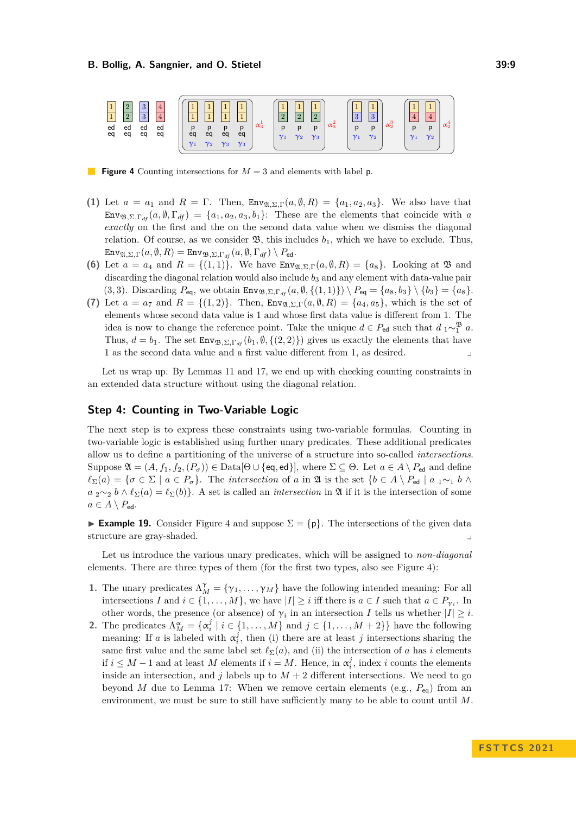<span id="page-8-0"></span>

**Figure 4** Counting intersections for  $M = 3$  and elements with label p.

- **(1)** Let  $a = a_1$  and  $R = \Gamma$ . Then,  $\text{Env}_{\mathfrak{A}, \Sigma, \Gamma}(a, \emptyset, R) = \{a_1, a_2, a_3\}$ . We also have that Env<sub>B</sub>,  $\Sigma$ ,  $\Gamma_{df}(a, \emptyset, \Gamma_{df}) = \{a_1, a_2, a_3, b_1\}$ : These are the elements that coincide with *a exactly* on the first and the on the second data value when we dismiss the diagonal relation. Of course, as we consider  $\mathfrak{B}$ , this includes  $b_1$ , which we have to exclude. Thus,  $\text{Env}_{\mathfrak{A}, \Sigma, \Gamma}(a, \emptyset, R) = \text{Env}_{\mathfrak{B}, \Sigma, \Gamma_{df}}(a, \emptyset, \Gamma_{df}) \setminus P_{\text{ed}}.$
- **(6)** Let  $a = a_4$  and  $R = \{(1,1)\}\$ . We have  $\text{Env}_{\mathfrak{A},\Sigma,\Gamma}(a,\emptyset,R) = \{a_8\}$ . Looking at  $\mathfrak{B}$  and discarding the diagonal relation would also include *b*<sup>3</sup> and any element with data-value pair  $(3,3)$ . Discarding  $P_{eq}$ , we obtain  $\text{Env}_{\mathfrak{B},\Sigma,\Gamma_{df}}(a,\emptyset,\{(1,1)\}) \setminus P_{eq} = \{a_8,b_3\} \setminus \{b_3\} = \{a_8\}.$
- (7) Let  $a = a_7$  and  $R = \{(1,2)\}\$ . Then,  $\text{Env}_{\mathfrak{A},\Sigma,\Gamma}(a,\emptyset,R) = \{a_4,a_5\}$ , which is the set of elements whose second data value is 1 and whose first data value is different from 1. The idea is now to change the reference point. Take the unique  $d \in P_{ed}$  such that  $d_1 \sim_1^{\mathfrak{B}} a$ . Thus,  $d = b_1$ . The set  $\text{Env}_{\mathfrak{B},\Sigma,\Gamma_{df}}(b_1,\emptyset,\{(2,2)\})$  gives us exactly the elements that have 1 as the second data value and a first value different from 1, as desired. ⌟

Let us wrap up: By Lemmas [11](#page-6-1) and [17,](#page-7-0) we end up with checking counting constraints in an extended data structure without using the diagonal relation.

# **Step 4: Counting in Two-Variable Logic**

The next step is to express these constraints using two-variable formulas. Counting in two-variable logic is established using further unary predicates. These additional predicates allow us to define a partitioning of the universe of a structure into so-called *intersections*. Suppose  $\mathfrak{A} = (A, f_1, f_2, (P_{\sigma})) \in \text{Data}[\Theta \cup \{\text{eq}, \text{ed}\}],$  where  $\Sigma \subseteq \Theta$ . Let  $a \in A \setminus P_{\text{ed}}$  and define  $\ell_{\Sigma}(a) = \{\sigma \in \Sigma \mid a \in P_{\sigma}\}.$  The *intersection* of *a* in  $\mathfrak{A}$  is the set  $\{b \in A \setminus P_{\mathsf{ed}} \mid a \leq 1 \land b \land b\}$  $a_2 \sim_2 b \wedge \ell_{\Sigma}(a) = \ell_{\Sigma}(b)$ . A set is called an *intersection* in  $\mathfrak{A}$  if it is the intersection of some  $a \in A \setminus P_{\text{ed}}$ .

**Example 19.** Consider Figure [4](#page-8-0) and suppose  $\Sigma = \{p\}$ . The intersections of the given data structure are gray-shaded.

Let us introduce the various unary predicates, which will be assigned to *non-diagonal* elements. There are three types of them (for the first two types, also see Figure [4\)](#page-8-0):

- **1.** The unary predicates  $\Lambda_M^{\gamma} = {\gamma_1, \ldots, \gamma_M}$  have the following intended meaning: For all intersections *I* and  $i \in \{1, ..., M\}$ , we have  $|I| \geq i$  iff there is  $a \in I$  such that  $a \in P_{\gamma_i}$ . In other words, the presence (or absence) of  $\gamma_i$  in an intersection *I* tells us whether  $|I| \geq i$ .
- **2.** The predicates  $\Lambda_M^{\alpha} = {\alpha_i^j | i \in \{1, ..., M\} \text{ and } j \in \{1, ..., M+2\}}$  have the following meaning: If *a* is labeled with  $\alpha_i^j$ , then (i) there are at least *j* intersections sharing the same first value and the same label set  $\ell_{\Sigma}(a)$ , and (ii) the intersection of *a* has *i* elements if  $i \leq M - 1$  and at least *M* elements if  $i = M$ . Hence, in  $\alpha_i^j$ , index *i* counts the elements inside an intersection, and  $j$  labels up to  $M + 2$  different intersections. We need to go beyond *M* due to Lemma [17:](#page-7-0) When we remove certain elements (e.g., *P*eq) from an environment, we must be sure to still have sufficiently many to be able to count until *M*.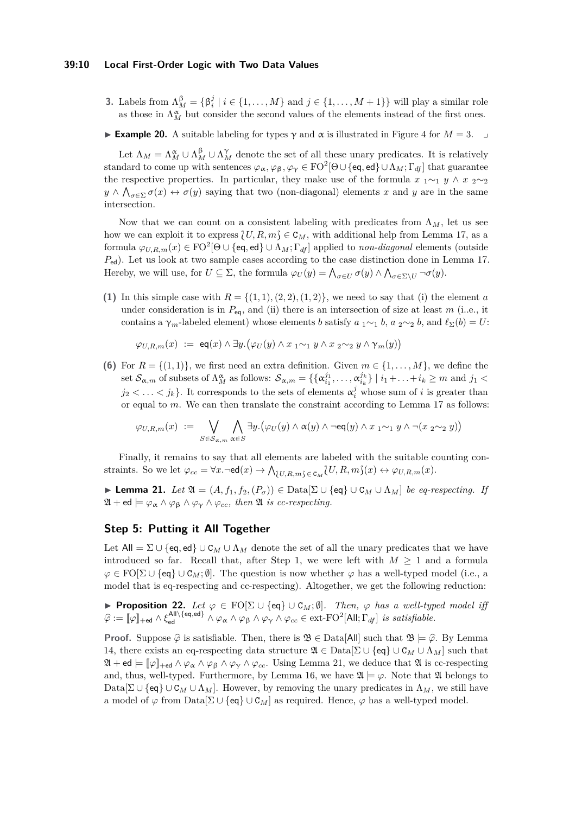#### **39:10 Local First-Order Logic with Two Data Values**

- **3.** Labels from  $\Lambda_M^{\beta} = \{\beta_i^j \mid i \in \{1, ..., M\} \text{ and } j \in \{1, ..., M+1\}\}\$  will play a similar role as those in  $\Lambda_M^{\alpha}$  but consider the second values of the elements instead of the first ones.
- **► Example 20.** A suitable labeling for types  $\gamma$  and  $\alpha$  is illustrated in Figure [4](#page-8-0) for *M* = 3. →

Let  $\Lambda_M = \Lambda_M^{\alpha} \cup \Lambda_M^{\beta} \cup \Lambda_M^{\gamma}$  denote the set of all these unary predicates. It is relatively standard to come up with sentences  $\varphi_\alpha, \varphi_\beta, \varphi_\gamma \in {\rm FO}^2[\Theta\cup \{\operatorname{\sf eq},\operatorname{\sf ed}\}\cup \Lambda_M;\Gamma_{df}]$  that guarantee the respective properties. In particular, they make use of the formula  $x_1 \sim_1 y \land x_2 \sim_2 z$  $y \wedge \bigwedge_{\sigma \in \Sigma} \sigma(x) \leftrightarrow \sigma(y)$  saying that two (non-diagonal) elements *x* and *y* are in the same intersection.

Now that we can count on a consistent labeling with predicates from  $\Lambda_M$ , let us see how we can exploit it to express  $\{U, R, m\} \in \mathcal{C}_M$ , with additional help from Lemma [17,](#page-7-0) as a formula  $\varphi_{U,R,m}(x) \in {\rm FO}^2[\Theta \cup \{\textsf{eq},\textsf{ed}\} \cup \Lambda_M; \Gamma_{df}]$  applied to *non-diagonal* elements (outside *P*ed). Let us look at two sample cases according to the case distinction done in Lemma [17.](#page-7-0) Hereby, we will use, for  $U \subseteq \Sigma$ , the formula  $\varphi_U(y) = \bigwedge_{\sigma \in U} \sigma(y) \wedge \bigwedge_{\sigma \in \Sigma \setminus U} \neg \sigma(y)$ .

(1) In this simple case with  $R = \{(1, 1), (2, 2), (1, 2)\}$ , we need to say that (i) the element *a* under consideration is in  $P_{eq}$ , and (ii) there is an intersection of size at least  $m$  (i.e., it contains a  $\gamma_m$ -labeled element) whose elements *b* satisfy  $a_1 \sim_1 b$ ,  $a_2 \sim_2 b$ , and  $\ell_{\Sigma}(b) = U$ :

$$
\varphi_{U,R,m}(x) \ := \ \operatorname{\sf eq}(x) \wedge \exists y . \big( \varphi_U(y) \wedge x \ _1 \sim_1 y \wedge x \ _2 \sim_2 y \wedge \gamma_m(y) \big)
$$

**(6)** For  $R = \{(1,1)\}\)$ , we first need an extra definition. Given  $m \in \{1, \ldots, M\}$ , we define the set  $\mathcal{S}_{\alpha,m}$  of subsets of  $\Lambda_M^{\alpha}$  as follows:  $\mathcal{S}_{\alpha,m} = \{ \{\alpha_{i_1}^{j_1}, \ldots, \alpha_{i_k}^{j_k}\} \mid i_1 + \ldots + i_k \geq m \text{ and } j_1 <$  $j_2 < \ldots < j_k$ . It corresponds to the sets of elements  $\alpha_i^j$  whose sum of *i* is greater than or equal to *m*. We can then translate the constraint according to Lemma [17](#page-7-0) as follows:

$$
\varphi_{U,R,m}(x) \ := \ \bigvee_{S \in \mathcal{S}_{\alpha,m}} \bigwedge_{\alpha \in S} \exists y. \big(\varphi_U(y) \wedge \alpha(y) \wedge \neg \textsf{eq}(y) \wedge x \ _1 \sim_1 y \wedge \neg(x \ _2 \sim_2 y)\big)
$$

Finally, it remains to say that all elements are labeled with the suitable counting constraints. So we let  $\varphi_{cc} = \forall x. \neg \text{ed}(x) \rightarrow \bigwedge_{\{U, R, m\} \in \text{C}_M} U, R, m\}(x) \leftrightarrow \varphi_{U, R, m}(x)$ .

<span id="page-9-0"></span>▶ **Lemma 21.** *Let*  $\mathfrak{A} = (A, f_1, f_2, (P_\sigma)) \in \text{Data}[\Sigma \cup \{\text{eq}\} \cup C_M \cup \Lambda_M]$  *be eq-respecting. If*  $\mathfrak{A} + \mathsf{ed} \models \varphi_{\alpha} \land \varphi_{\beta} \land \varphi_{\gamma} \land \varphi_{cc}, \text{ then } \mathfrak{A} \text{ is } \text{cc-respecting}.$ 

# **Step 5: Putting it All Together**

Let  $All = \Sigma \cup \{eq, ed\} \cup C_M \cup \Lambda_M$  denote the set of all the unary predicates that we have introduced so far. Recall that, after Step 1, we were left with  $M \geq 1$  and a formula  $\varphi \in \text{FO}[\Sigma \cup \{\text{eq}\} \cup \mathcal{C}_M; \emptyset]$ . The question is now whether  $\varphi$  has a well-typed model (i.e., a model that is eq-respecting and cc-respecting). Altogether, we get the following reduction:

<span id="page-9-1"></span>**► Proposition 22.** Let  $\varphi \in \text{FO}[\Sigma \cup \{\text{eq}\} \cup \text{C}_M; \emptyset]$ *. Then,*  $\varphi$  *has a well-typed model iff*  $\widehat{\varphi} := [\![\varphi]\!]_{+\infty} \wedge \xi_{\text{ed}}^{\text{All}\setminus\{\text{eq},\text{ed}\}} \wedge \varphi_{\alpha} \wedge \varphi_{\beta} \wedge \varphi_{\gamma} \wedge \varphi_{cc} \in \text{ext-FO}^2[\text{All};\Gamma_{df}] \text{ is satisfiable.}$ 

**Proof.** Suppose  $\hat{\varphi}$  is satisfiable. Then, there is  $\mathfrak{B} \in \text{Data}[All]$  such that  $\mathfrak{B} \models \hat{\varphi}$ . By Lemma [14,](#page-7-1) there exists an eq-respecting data structure  $\mathfrak{A} \in \text{Data}[\Sigma \cup \{eq\} \cup C_M \cup \Lambda_M]$  such that  $\mathfrak{A} + \mathsf{ed} \models [\![\varphi]\!]_{\mathsf{+ed}} \land \varphi_{\alpha} \land \varphi_{\beta} \land \varphi_{\gamma} \land \varphi_{cc}$ . Using Lemma [21,](#page-9-0) we deduce that  $\mathfrak{A}$  is cc-respecting and, thus, well-typed. Furthermore, by Lemma [16,](#page-7-2) we have  $\mathfrak{A} \models \varphi$ . Note that  $\mathfrak{A}$  belongs to Data $[\Sigma \cup \{\text{eq}\} \cup \mathcal{C}_M \cup \Lambda_M]$ . However, by removing the unary predicates in  $\Lambda_M$ , we still have a model of  $\varphi$  from Data $[\Sigma \cup \{\text{eq}\} \cup \text{C}_M]$  as required. Hence,  $\varphi$  has a well-typed model.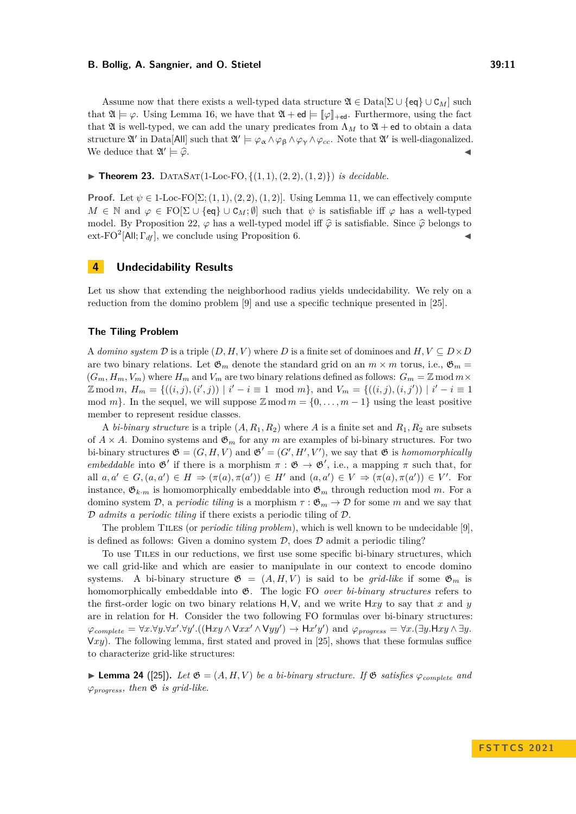#### **B. Bollig, A. Sangnier, and O. Stietel 39:11**

Assume now that there exists a well-typed data structure  $\mathfrak{A} \in \text{Data}[\Sigma \cup \{eq\} \cup C_M]$  such that  $\mathfrak{A} \models \varphi$ . Using Lemma [16,](#page-7-2) we have that  $\mathfrak{A} + ed \models \llbracket \varphi \rrbracket_{\text{+ed}}$ . Furthermore, using the fact that  $\mathfrak A$  is well-typed, we can add the unary predicates from  $\Lambda_M$  to  $\mathfrak A$  + ed to obtain a data structure  $\mathfrak{A}'$  in Data[All] such that  $\mathfrak{A}' \models \varphi_\alpha \land \varphi_\beta \land \varphi_\gamma \land \varphi_{cc}$ . Note that  $\mathfrak{A}'$  is well-diagonalized. We deduce that  $\mathfrak{A}'$  $\models \widehat{\varphi}$ .  $\blacktriangleleft$ 

▶ **Theorem 23.** DATASAT(1-Loc-FO, { $(1, 1)$ ,  $(2, 2)$ ,  $(1, 2)$ }) *is decidable.* 

**Proof.** Let  $\psi \in 1$ -Loc-FO $[\Sigma; (1,1), (2,2), (1,2)]$ . Using Lemma [11,](#page-6-1) we can effectively compute  $M \in \mathbb{N}$  and  $\varphi \in \mathrm{FO}[\Sigma \cup \{\text{eq}\} \cup \mathcal{C}_M; \emptyset]$  such that  $\psi$  is satisfiable iff  $\varphi$  has a well-typed model. By Proposition [22,](#page-9-1)  $\varphi$  has a well-typed model iff  $\hat{\varphi}$  is satisfiable. Since  $\hat{\varphi}$  belongs to  $ext\text{-}FO^2[All; \Gamma_{df}]$ , we conclude using Proposition [6.](#page-3-1)

# <span id="page-10-0"></span>**4 Undecidability Results**

Let us show that extending the neighborhood radius yields undecidability. We rely on a reduction from the domino problem [\[9\]](#page-13-16) and use a specific technique presented in [\[25\]](#page-14-3).

#### **The Tiling Problem**

A *domino system*  $\mathcal{D}$  is a triple  $(D, H, V)$  where  $D$  is a finite set of dominoes and  $H, V \subseteq D \times D$ are two binary relations. Let  $\mathfrak{G}_m$  denote the standard grid on an  $m \times m$  torus, i.e.,  $\mathfrak{G}_m =$  $(G_m, H_m, V_m)$  where  $H_m$  and  $V_m$  are two binary relations defined as follows:  $G_m = \mathbb{Z} \mod m \times$  $\mathbb{Z} \mod m$ ,  $H_m = \{((i, j), (i', j)) \mid i' - i \equiv 1 \mod m\}$ , and  $V_m = \{((i, j), (i, j')) \mid i' - i \equiv 1 \}$ mod  $m$ }. In the sequel, we will suppose  $\mathbb{Z}$  mod  $m = \{0, \ldots, m-1\}$  using the least positive member to represent residue classes.

A *bi-binary structure* is a triple  $(A, R_1, R_2)$  where A is a finite set and  $R_1, R_2$  are subsets of  $A \times A$ . Domino systems and  $\mathfrak{G}_m$  for any *m* are examples of bi-binary structures. For two bi-binary structures  $\mathfrak{G} = (G, H, V)$  and  $\mathfrak{G}' = (G', H', V')$ , we say that  $\mathfrak{G}$  is *homomorphically embeddable* into  $\mathfrak{G}'$  if there is a morphism  $\pi : \mathfrak{G} \to \mathfrak{G}'$ , i.e., a mapping  $\pi$  such that, for all  $a, a' \in G, (a, a') \in H \Rightarrow (\pi(a), \pi(a')) \in H'$  and  $(a, a') \in V \Rightarrow (\pi(a), \pi(a')) \in V'$ . For instance,  $\mathfrak{G}_{k,m}$  is homomorphically embeddable into  $\mathfrak{G}_m$  through reduction mod *m*. For a domino system  $\mathcal{D}$ , a *periodic tiling* is a morphism  $\tau : \mathfrak{G}_m \to \mathcal{D}$  for some *m* and we say that D *admits a periodic tiling* if there exists a periodic tiling of D.

The problem Tiles (or *periodic tiling problem*), which is well known to be undecidable [\[9\]](#page-13-16), is defined as follows: Given a domino system  $D$ , does  $D$  admit a periodic tiling?

To use Tiles in our reductions, we first use some specific bi-binary structures, which we call grid-like and which are easier to manipulate in our context to encode domino systems. A bi-binary structure  $\mathfrak{G} = (A, H, V)$  is said to be *grid-like* if some  $\mathfrak{G}_m$  is homomorphically embeddable into G. The logic FO *over bi-binary structures* refers to the first-order logic on two binary relations H*,*V, and we write H*xy* to say that *x* and *y* are in relation for H. Consider the two following FO formulas over bi-binary structures:  $\varphi_{complete} = \forall x. \forall y. \forall x'. \forall y'.((\forall xy \land \forall xx' \land \forall yy') \rightarrow \forall xy')$  and  $\varphi_{progress} = \forall x.(\exists y. \forall xy \land \exists y.$ V*xy*). The following lemma, first stated and proved in [\[25\]](#page-14-3), shows that these formulas suffice to characterize grid-like structures:

**Example 24** ([\[25\]](#page-14-3)). Let  $\mathfrak{G} = (A, H, V)$  be a bi-binary structure. If  $\mathfrak{G}$  satisfies  $\varphi_{complete}$  and  $\varphi_{progress}$ *, then*  $\mathfrak{G}$  *is grid-like.*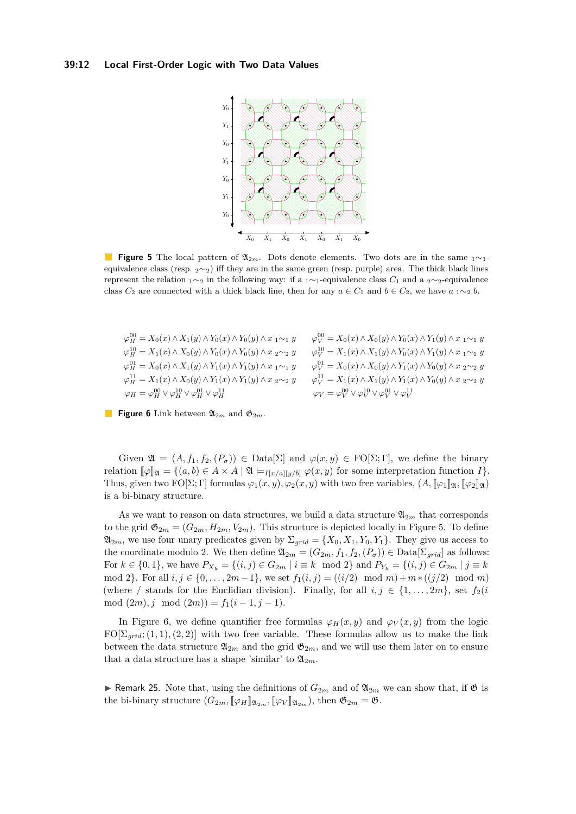#### <span id="page-11-0"></span>**39:12 Local First-Order Logic with Two Data Values**



**Figure 5** The local pattern of  $\mathfrak{A}_{2m}$ . Dots denote elements. Two dots are in the same <sub>1</sub>∼<sub>1</sub> equivalence class (resp. <sup>2</sup>∼2) iff they are in the same green (resp. purple) area. The thick black lines represent the relation <sup>1</sup>∼<sup>2</sup> in the following way: if a <sup>1</sup>∼1-equivalence class *C*<sup>1</sup> and a <sup>2</sup>∼2-equivalence class  $C_2$  are connected with a thick black line, then for any  $a \in C_1$  and  $b \in C_2$ , we have  $a_1 \sim_2 b$ .

<span id="page-11-1"></span>

| $\varphi_H^{00} = X_0(x) \wedge X_1(y) \wedge Y_0(x) \wedge Y_0(y) \wedge x_1 \sim_1 y$  | $\varphi_V^{00} = X_0(x) \wedge X_0(y) \wedge Y_0(x) \wedge Y_1(y) \wedge x_1 \sim_1 y$  |
|------------------------------------------------------------------------------------------|------------------------------------------------------------------------------------------|
| $\varphi_H^{10} = X_1(x) \wedge X_0(y) \wedge Y_0(x) \wedge Y_0(y) \wedge x_2 \sim_2 y$  | $\varphi_V^{10} = X_1(x) \wedge X_1(y) \wedge Y_0(x) \wedge Y_1(y) \wedge x_1 \sim_1 y$  |
| $\varphi_H^{01} = X_0(x) \wedge X_1(y) \wedge Y_1(x) \wedge Y_1(y) \wedge x_1 \sim_1 y$  | $\varphi_V^{01} = X_0(x) \wedge X_0(y) \wedge Y_1(x) \wedge Y_0(y) \wedge x_2 \sim_2 y$  |
| $\varphi_H^{11} = X_1(x) \wedge X_0(y) \wedge Y_1(x) \wedge Y_1(y) \wedge x_2 \sim_2 y$  | $\varphi_V^{11} = X_1(x) \wedge X_1(y) \wedge Y_1(x) \wedge Y_0(y) \wedge x_2 \sim_2 y$  |
| $\varphi_H = \varphi_H^{00} \vee \varphi_H^{10} \vee \varphi_H^{01} \vee \varphi_H^{11}$ | $\varphi_V = \varphi_V^{00} \vee \varphi_V^{10} \vee \varphi_V^{01} \vee \varphi_V^{11}$ |

**Figure 6** Link between  $\mathfrak{A}_{2m}$  and  $\mathfrak{G}_{2m}$ .

Given  $\mathfrak{A} = (A, f_1, f_2, (P_\sigma)) \in \text{Data}[\Sigma]$  and  $\varphi(x, y) \in \text{FO}[\Sigma; \Gamma]$ , we define the binary relation  $[\![\varphi]\!]_{\mathfrak{A}} = \{(a,b) \in A \times A \mid \mathfrak{A} \models_{I[x/a][y/b]} \varphi(x,y) \text{ for some interpretation function } I\}.$ Thus, given two  $FO[\Sigma; \Gamma]$  formulas  $\varphi_1(x, y), \varphi_2(x, y)$  with two free variables,  $(A, [\varphi_1]_2, [\varphi_2]_2)$ is a bi-binary structure.

As we want to reason on data structures, we build a data structure  $\mathfrak{A}_{2m}$  that corresponds to the grid  $\mathfrak{G}_{2m} = (G_{2m}, H_{2m}, V_{2m})$ . This structure is depicted locally in Figure [5.](#page-11-0) To define  $\mathfrak{A}_{2m}$ , we use four unary predicates given by  $\Sigma_{grid} = \{X_0, X_1, Y_0, Y_1\}$ . They give us access to the coordinate modulo 2. We then define  $\mathfrak{A}_{2m} = (G_{2m}, f_1, f_2, (P_{\sigma})) \in \text{Data}[\Sigma_{grid}]$  as follows: For  $k \in \{0, 1\}$ , we have  $P_{X_k} = \{(i, j) \in G_{2m} \mid i \equiv k \mod 2\}$  and  $P_{Y_k} = \{(i, j) \in G_{2m} \mid j \equiv k \}$ mod 2}. For all  $i, j \in \{0, ..., 2m-1\}$ , we set  $f_1(i, j) = ((i/2) \mod m) + m*(j/2) \mod m$ (where */* stands for the Euclidian division). Finally, for all  $i, j \in \{1, \ldots, 2m\}$ , set  $f_2(i)$ mod  $(2m), j \mod (2m) = f_1(i-1, j-1).$ 

In Figure [6,](#page-11-1) we define quantifier free formulas  $\varphi_H(x, y)$  and  $\varphi_V(x, y)$  from the logic  $FO[\Sigma_{grid}; (1,1), (2,2)]$  with two free variable. These formulas allow us to make the link between the data structure  $\mathfrak{A}_{2m}$  and the grid  $\mathfrak{G}_{2m}$ , and we will use them later on to ensure that a data structure has a shape 'similar' to  $\mathfrak{A}_{2m}$ .

▶ Remark 25. Note that, using the definitions of  $G_{2m}$  and of  $\mathfrak{A}_{2m}$  we can show that, if  $\mathfrak{G}$  is the bi-binary structure  $(G_{2m}, [\![\varphi_H]\!]_{\mathfrak{A}_{2m}}, [\![\varphi_V]\!]_{\mathfrak{A}_{2m}})$ , then  $\mathfrak{G}_{2m} = \mathfrak{G}$ .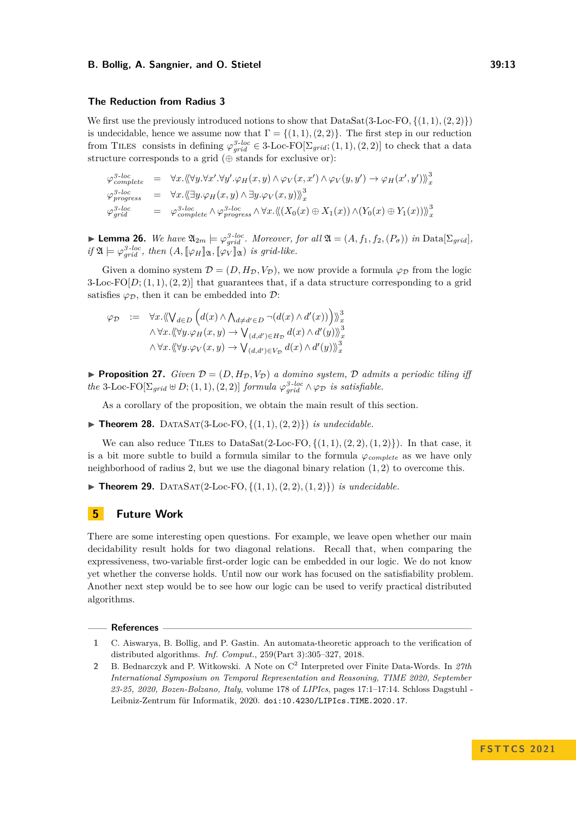#### **B. Bollig, A. Sangnier, and O. Stietel 39:13**

#### **The Reduction from Radius 3**

We first use the previously introduced notions to show that  $DataSat(3\textrm{-}Loc\textrm{-}FO, \{(1,1),(2,2)\})$ is undecidable, hence we assume now that  $\Gamma = \{(1,1), (2,2)\}\.$  The first step in our reduction from TILES consists in defining  $\varphi_{grid}^{3-loc} \in 3$ -Loc-FO $[\Sigma_{grid}; (1,1), (2,2)]$  to check that a data structure corresponds to a grid  $(\oplus$  stands for exclusive or):

$$
\varphi^{3-loc}_{complete} = \forall x. \langle \langle \forall y. \forall x'. \forall y'. \varphi_H(x, y) \land \varphi_V(x, x') \land \varphi_V(y, y') \rightarrow \varphi_H(x', y') \rangle_x^3
$$
  

$$
\varphi^{3-loc}_{process} = \forall x. \langle \langle \exists y. \varphi_H(x, y) \land \exists y. \varphi_V(x, y) \rangle_x^3
$$
  

$$
\varphi^{3-loc}_{grid} = \varphi^{3-loc}_{complete} \land \varphi^{3-loc}_{progress} \land \forall x. \langle \langle (X_0(x) \oplus X_1(x)) \land (Y_0(x) \oplus Y_1(x)) \rangle_x^3
$$

► **Lemma 26.** We have  $\mathfrak{A}_{2m} \models \varphi_{grid}^{3-loc}$ . Moreover, for all  $\mathfrak{A} = (A, f_1, f_2, (P_\sigma))$  in Data $[\Sigma_{grid}]$ ,  $if \mathfrak{A} \models \varphi_{grid}^{3-loc}, then (A, [\![\varphi_H]\!]_{\mathfrak{A}}, [\![\varphi_V]\!]_{\mathfrak{A}}) \text{ is grid-like.}$ 

Given a domino system  $\mathcal{D} = (D, H_{\mathcal{D}}, V_{\mathcal{D}})$ , we now provide a formula  $\varphi_{\mathcal{D}}$  from the logic 3-Loc-FO $[D; (1,1), (2,2)]$  that guarantees that, if a data structure corresponding to a grid satisfies  $\varphi_{\mathcal{D}}$ , then it can be embedded into  $\mathcal{D}$ :

$$
\varphi_{\mathcal{D}} := \forall x. \langle \langle \bigvee_{d \in D} \Big( d(x) \wedge \bigwedge_{d \neq d' \in D} \neg(d(x) \wedge d'(x)) \Big) \rangle_x^3
$$
  
 
$$
\wedge \forall x. \langle \langle \forall y. \varphi_H(x, y) \rightarrow \bigvee_{(d, d') \in H_{\mathcal{D}}} d(x) \wedge d'(y) \rangle_x^3
$$
  
 
$$
\wedge \forall x. \langle \langle \forall y. \varphi_V(x, y) \rightarrow \bigvee_{(d, d') \in V_{\mathcal{D}}} d(x) \wedge d'(y) \rangle_x^3
$$

**• Proposition 27.** *Given*  $\mathcal{D} = (D, H_{\mathcal{D}}, V_{\mathcal{D}})$  *a domino system,*  $\mathcal{D}$  *admits a periodic tiling iff the* 3-Loc-FO $[\Sigma_{grid} \oplus D; (1,1), (2,2)]$  *formula*  $\varphi_{grid}^{3-loc} \wedge \varphi_{\mathcal{D}}$  *is satisfiable.* 

As a corollary of the proposition, we obtain the main result of this section.

 $\blacktriangleright$  **Theorem 28.** DATASAT(3-Loc-FO,  $\{(1,1),(2,2)\})$  *is undecidable.* 

We can also reduce TILES to DataSat $(2$ -Loc-FO,  $\{(1,1),(2,2),(1,2)\})$ . In that case, it is a bit more subtle to build a formula similar to the formula  $\varphi_{complete}$  as we have only neighborhood of radius 2, but we use the diagonal binary relation (1*,* 2) to overcome this.

 $\blacktriangleright$  **Theorem 29.** DATASAT(2-Loc-FO, {(1, 1), (2, 2), (1, 2)}) *is undecidable.* 

# <span id="page-12-2"></span>**5 Future Work**

There are some interesting open questions. For example, we leave open whether our main decidability result holds for two diagonal relations. Recall that, when comparing the expressiveness, two-variable first-order logic can be embedded in our logic. We do not know yet whether the converse holds. Until now our work has focused on the satisfiability problem. Another next step would be to see how our logic can be used to verify practical distributed algorithms.

#### **References**

<span id="page-12-0"></span>**1** C. Aiswarya, B. Bollig, and P. Gastin. An automata-theoretic approach to the verification of distributed algorithms. *Inf. Comput.*, 259(Part 3):305–327, 2018.

<span id="page-12-1"></span>**<sup>2</sup>** B. Bednarczyk and P. Witkowski. A Note on C<sup>2</sup> Interpreted over Finite Data-Words. In *27th International Symposium on Temporal Representation and Reasoning, TIME 2020, September 23-25, 2020, Bozen-Bolzano, Italy*, volume 178 of *LIPIcs*, pages 17:1–17:14. Schloss Dagstuhl - Leibniz-Zentrum für Informatik, 2020. [doi:10.4230/LIPIcs.TIME.2020.17](https://doi.org/10.4230/LIPIcs.TIME.2020.17).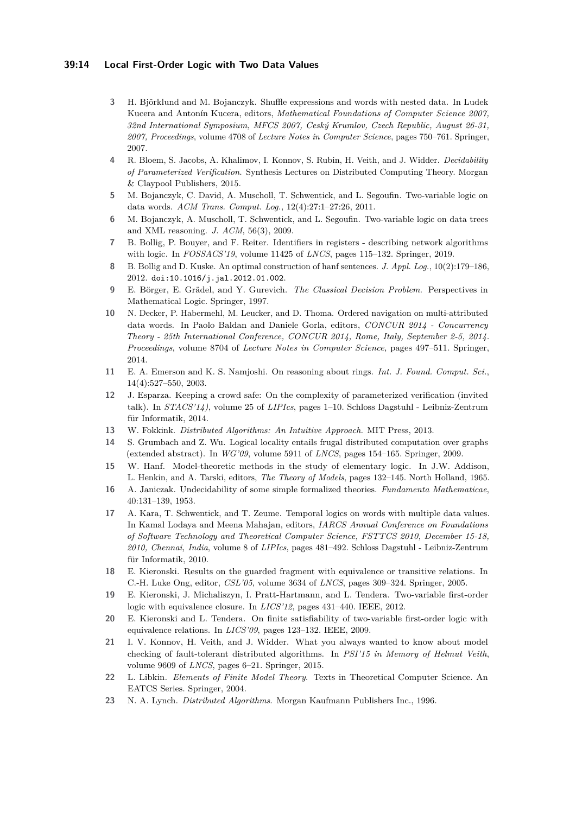### **39:14 Local First-Order Logic with Two Data Values**

- <span id="page-13-6"></span>**3** H. Björklund and M. Bojanczyk. Shuffle expressions and words with nested data. In Ludek Kucera and Antonín Kucera, editors, *Mathematical Foundations of Computer Science 2007, 32nd International Symposium, MFCS 2007, Ceský Krumlov, Czech Republic, August 26-31, 2007, Proceedings*, volume 4708 of *Lecture Notes in Computer Science*, pages 750–761. Springer, 2007.
- <span id="page-13-10"></span>**4** R. Bloem, S. Jacobs, A. Khalimov, I. Konnov, S. Rubin, H. Veith, and J. Widder. *Decidability of Parameterized Verification*. Synthesis Lectures on Distributed Computing Theory. Morgan & Claypool Publishers, 2015.
- <span id="page-13-0"></span>**5** M. Bojanczyk, C. David, A. Muscholl, T. Schwentick, and L. Segoufin. Two-variable logic on data words. *ACM Trans. Comput. Log.*, 12(4):27:1–27:26, 2011.
- <span id="page-13-1"></span>**6** M. Bojanczyk, A. Muscholl, T. Schwentick, and L. Segoufin. Two-variable logic on data trees and XML reasoning. *J. ACM*, 56(3), 2009.
- <span id="page-13-13"></span>**7** B. Bollig, P. Bouyer, and F. Reiter. Identifiers in registers - describing network algorithms with logic. In *FOSSACS'19*, volume 11425 of *LNCS*, pages 115–132. Springer, 2019.
- <span id="page-13-19"></span>**8** B. Bollig and D. Kuske. An optimal construction of hanf sentences. *J. Appl. Log.*, 10(2):179–186, 2012. [doi:10.1016/j.jal.2012.01.002](https://doi.org/10.1016/j.jal.2012.01.002).
- <span id="page-13-16"></span>**9** E. Börger, E. Grädel, and Y. Gurevich. *The Classical Decision Problem*. Perspectives in Mathematical Logic. Springer, 1997.
- <span id="page-13-7"></span>**10** N. Decker, P. Habermehl, M. Leucker, and D. Thoma. Ordered navigation on multi-attributed data words. In Paolo Baldan and Daniele Gorla, editors, *CONCUR 2014 - Concurrency Theory - 25th International Conference, CONCUR 2014, Rome, Italy, September 2-5, 2014. Proceedings*, volume 8704 of *Lecture Notes in Computer Science*, pages 497–511. Springer, 2014.
- <span id="page-13-12"></span>**11** E. A. Emerson and K. S. Namjoshi. On reasoning about rings. *Int. J. Found. Comput. Sci.*, 14(4):527–550, 2003.
- <span id="page-13-11"></span>**12** J. Esparza. Keeping a crowd safe: On the complexity of parameterized verification (invited talk). In *STACS'14)*, volume 25 of *LIPIcs*, pages 1–10. Schloss Dagstuhl - Leibniz-Zentrum für Informatik, 2014.
- <span id="page-13-2"></span>**13** W. Fokkink. *Distributed Algorithms: An Intuitive Approach*. MIT Press, 2013.
- <span id="page-13-14"></span>**14** S. Grumbach and Z. Wu. Logical locality entails frugal distributed computation over graphs (extended abstract). In *WG'09*, volume 5911 of *LNCS*, pages 154–165. Springer, 2009.
- <span id="page-13-17"></span>**15** W. Hanf. Model-theoretic methods in the study of elementary logic. In J.W. Addison, L. Henkin, and A. Tarski, editors, *The Theory of Models*, pages 132–145. North Holland, 1965.
- <span id="page-13-15"></span>**16** A. Janiczak. Undecidability of some simple formalized theories. *Fundamenta Mathematicae*, 40:131–139, 1953.
- <span id="page-13-8"></span>**17** A. Kara, T. Schwentick, and T. Zeume. Temporal logics on words with multiple data values. In Kamal Lodaya and Meena Mahajan, editors, *IARCS Annual Conference on Foundations of Software Technology and Theoretical Computer Science, FSTTCS 2010, December 15-18, 2010, Chennai, India*, volume 8 of *LIPIcs*, pages 481–492. Schloss Dagstuhl - Leibniz-Zentrum für Informatik, 2010.
- <span id="page-13-4"></span>**18** E. Kieronski. Results on the guarded fragment with equivalence or transitive relations. In C.-H. Luke Ong, editor, *CSL'05*, volume 3634 of *LNCS*, pages 309–324. Springer, 2005.
- **19** E. Kieronski, J. Michaliszyn, I. Pratt-Hartmann, and L. Tendera. Two-variable first-order logic with equivalence closure. In *LICS'12*, pages 431–440. IEEE, 2012.
- <span id="page-13-5"></span>**20** E. Kieronski and L. Tendera. On finite satisfiability of two-variable first-order logic with equivalence relations. In *LICS'09*, pages 123–132. IEEE, 2009.
- <span id="page-13-9"></span>**21** I. V. Konnov, H. Veith, and J. Widder. What you always wanted to know about model checking of fault-tolerant distributed algorithms. In *PSI'15 in Memory of Helmut Veith*, volume 9609 of *LNCS*, pages 6–21. Springer, 2015.
- <span id="page-13-18"></span>**22** L. Libkin. *Elements of Finite Model Theory*. Texts in Theoretical Computer Science. An EATCS Series. Springer, 2004.
- <span id="page-13-3"></span>**23** N. A. Lynch. *Distributed Algorithms*. Morgan Kaufmann Publishers Inc., 1996.